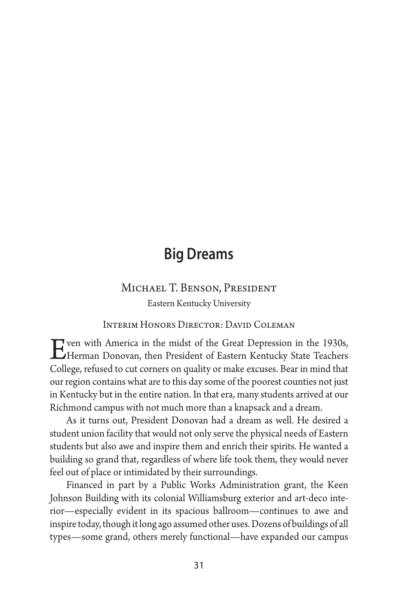## **Big Dreams**

## Michael T. Benson, President Eastern Kentucky University

Interim Honors Director: David Coleman

Even with America in the midst of the Great Depression in the 1930s,<br>Herman Donovan, then President of Eastern Kentucky State Teachers<br>Gallage as fixed to gut compass on avality or make awayses. Beau in mind that College, refused to cut corners on quality or make excuses. Bear in mind that our region contains what are to this day some of the poorest counties not just in Kentucky but in the entire nation. In that era, many students arrived at our Richmond campus with not much more than a knapsack and a dream.

As it turns out, President Donovan had a dream as well. He desired a student union facility that would not only serve the physical needs of Eastern students but also awe and inspire them and enrich their spirits. He wanted a building so grand that, regardless of where life took them, they would never feel out of place or intimidated by their surroundings.

Financed in part by a Public Works Administration grant, the Keen Johnson Building with its colonial Williamsburg exterior and art-deco interior—especially evident in its spacious ballroom—continues to awe and inspire today, though it long ago assumed other uses. Dozens of buildings of all types—some grand, others merely functional—have expanded our campus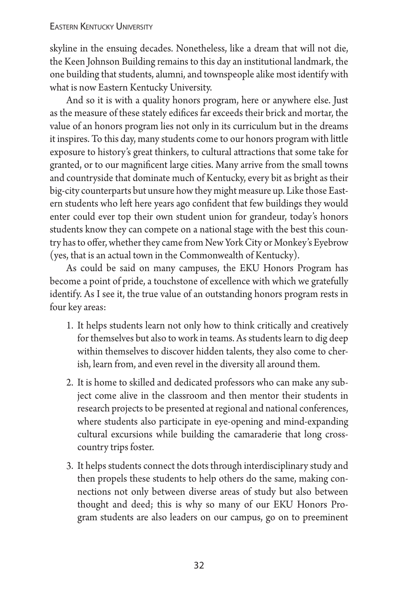## Eastern Kentucky University

skyline in the ensuing decades. Nonetheless, like a dream that will not die, the Keen Johnson Building remains to this day an institutional landmark, the one building that students, alumni, and townspeople alike most identify with what is now Eastern Kentucky University.

And so it is with a quality honors program, here or anywhere else. Just as the measure of these stately edifices far exceeds their brick and mortar, the value of an honors program lies not only in its curriculum but in the dreams it inspires. To this day, many students come to our honors program with little exposure to history's great thinkers, to cultural attractions that some take for granted, or to our magnificent large cities. Many arrive from the small towns and countryside that dominate much of Kentucky, every bit as bright as their big-city counterparts but unsure how they might measure up. Like those Eastern students who left here years ago confident that few buildings they would enter could ever top their own student union for grandeur, today's honors students know they can compete on a national stage with the best this country has to offer, whether they came from New York City or Monkey's Eyebrow (yes, that is an actual town in the Commonwealth of Kentucky).

As could be said on many campuses, the EKU Honors Program has become a point of pride, a touchstone of excellence with which we gratefully identify. As I see it, the true value of an outstanding honors program rests in four key areas:

- 1. It helps students learn not only how to think critically and creatively for themselves but also to work in teams. As students learn to dig deep within themselves to discover hidden talents, they also come to cherish, learn from, and even revel in the diversity all around them.
- 2. It is home to skilled and dedicated professors who can make any subject come alive in the classroom and then mentor their students in research projects to be presented at regional and national conferences, where students also participate in eye-opening and mind-expanding cultural excursions while building the camaraderie that long crosscountry trips foster.
- 3. It helps students connect the dots through interdisciplinary study and then propels these students to help others do the same, making connections not only between diverse areas of study but also between thought and deed; this is why so many of our EKU Honors Program students are also leaders on our campus, go on to preeminent